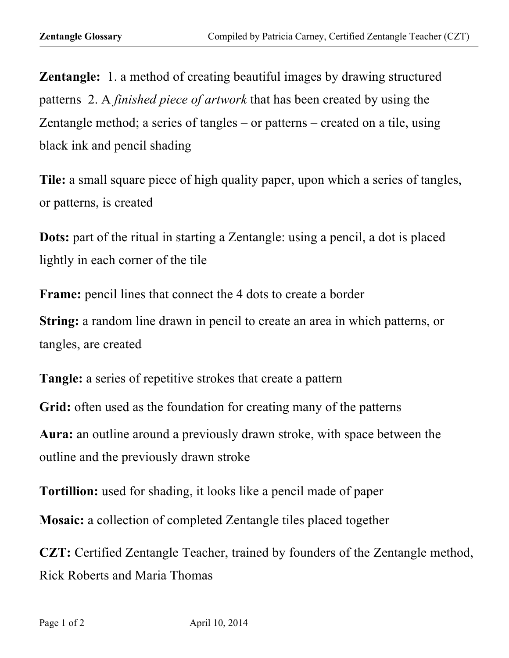**Zentangle:** 1. a method of creating beautiful images by drawing structured patterns 2. A *finished piece of artwork* that has been created by using the Zentangle method; a series of tangles – or patterns – created on a tile, using black ink and pencil shading

**Tile:** a small square piece of high quality paper, upon which a series of tangles, or patterns, is created

**Dots:** part of the ritual in starting a Zentangle: using a pencil, a dot is placed lightly in each corner of the tile

**Frame:** pencil lines that connect the 4 dots to create a border **String:** a random line drawn in pencil to create an area in which patterns, or tangles, are created

**Tangle:** a series of repetitive strokes that create a pattern **Grid:** often used as the foundation for creating many of the patterns **Aura:** an outline around a previously drawn stroke, with space between the outline and the previously drawn stroke

**Tortillion:** used for shading, it looks like a pencil made of paper

**Mosaic:** a collection of completed Zentangle tiles placed together

**CZT:** Certified Zentangle Teacher, trained by founders of the Zentangle method, Rick Roberts and Maria Thomas